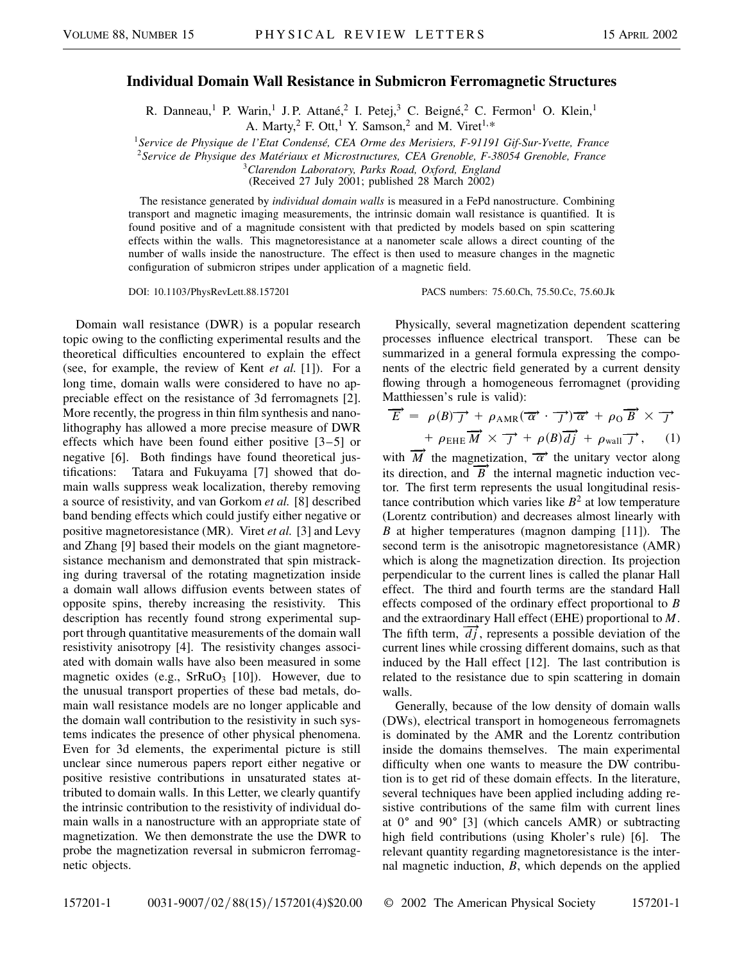## **Individual Domain Wall Resistance in Submicron Ferromagnetic Structures**

R. Danneau,<sup>1</sup> P. Warin,<sup>1</sup> J. P. Attané,<sup>2</sup> I. Petej,<sup>3</sup> C. Beigné,<sup>2</sup> C. Fermon<sup>1</sup> O. Klein,<sup>1</sup> A. Marty,<sup>2</sup> F. Ott,<sup>1</sup> Y. Samson,<sup>2</sup> and M. Viret<sup>1,\*</sup>

<sup>1</sup>*Service de Physique de l'Etat Condensé, CEA Orme des Merisiers, F-91191 Gif-Sur-Yvette, France*

<sup>2</sup>*Service de Physique des Matériaux et Microstructures, CEA Grenoble, F-38054 Grenoble, France*

<sup>3</sup>*Clarendon Laboratory, Parks Road, Oxford, England*

(Received 27 July 2001; published 28 March 2002)

The resistance generated by *individual domain walls* is measured in a FePd nanostructure. Combining transport and magnetic imaging measurements, the intrinsic domain wall resistance is quantified. It is found positive and of a magnitude consistent with that predicted by models based on spin scattering effects within the walls. This magnetoresistance at a nanometer scale allows a direct counting of the number of walls inside the nanostructure. The effect is then used to measure changes in the magnetic configuration of submicron stripes under application of a magnetic field.

DOI: 10.1103/PhysRevLett.88.157201 PACS numbers: 75.60.Ch, 75.50.Cc, 75.60.Jk

Domain wall resistance (DWR) is a popular research topic owing to the conflicting experimental results and the theoretical difficulties encountered to explain the effect (see, for example, the review of Kent *et al.* [1]). For a long time, domain walls were considered to have no appreciable effect on the resistance of 3d ferromagnets [2]. More recently, the progress in thin film synthesis and nanolithography has allowed a more precise measure of DWR effects which have been found either positive [3–5] or negative [6]. Both findings have found theoretical justifications: Tatara and Fukuyama [7] showed that domain walls suppress weak localization, thereby removing a source of resistivity, and van Gorkom *et al.* [8] described band bending effects which could justify either negative or positive magnetoresistance (MR). Viret *et al.* [3] and Levy and Zhang [9] based their models on the giant magnetoresistance mechanism and demonstrated that spin mistracking during traversal of the rotating magnetization inside a domain wall allows diffusion events between states of opposite spins, thereby increasing the resistivity. This description has recently found strong experimental support through quantitative measurements of the domain wall resistivity anisotropy [4]. The resistivity changes associated with domain walls have also been measured in some magnetic oxides (e.g.,  $S$ rRuO<sub>3</sub> [10]). However, due to the unusual transport properties of these bad metals, domain wall resistance models are no longer applicable and the domain wall contribution to the resistivity in such systems indicates the presence of other physical phenomena. Even for 3d elements, the experimental picture is still unclear since numerous papers report either negative or positive resistive contributions in unsaturated states attributed to domain walls. In this Letter, we clearly quantify the intrinsic contribution to the resistivity of individual domain walls in a nanostructure with an appropriate state of magnetization. We then demonstrate the use the DWR to probe the magnetization reversal in submicron ferromagnetic objects.

Physically, several magnetization dependent scattering processes influence electrical transport. These can be summarized in a general formula expressing the components of the electric field generated by a current density flowing through a homogeneous ferromagnet (providing Matthiessen's rule is valid):

$$
\overrightarrow{E} = \rho(B)\overrightarrow{J} + \rho_{\text{AMR}}(\overrightarrow{\alpha} \cdot \overrightarrow{J})\overrightarrow{\alpha} + \rho_0 \overrightarrow{B} \times \overrightarrow{J}
$$

$$
+ \rho_{\text{EHE}}\overrightarrow{M} \times \overrightarrow{J} + \rho(B)\overrightarrow{dj} + \rho_{\text{wall}}\overrightarrow{J}, \quad (1)
$$

with  $\overrightarrow{M}$  the magnetization,  $\overrightarrow{\alpha}$  the unitary vector along its direction, and  $\overrightarrow{B}$  the internal magnetic induction vector. The first term represents the usual longitudinal resistance contribution which varies like  $B<sup>2</sup>$  at low temperature (Lorentz contribution) and decreases almost linearly with *B* at higher temperatures (magnon damping [11]). The second term is the anisotropic magnetoresistance (AMR) which is along the magnetization direction. Its projection perpendicular to the current lines is called the planar Hall effect. The third and fourth terms are the standard Hall effects composed of the ordinary effect proportional to *B* and the extraordinary Hall effect (EHE) proportional to *M*. The fifth term,  $\overrightarrow{dj}$ , represents a possible deviation of the current lines while crossing different domains, such as that induced by the Hall effect [12]. The last contribution is related to the resistance due to spin scattering in domain walls.

Generally, because of the low density of domain walls (DWs), electrical transport in homogeneous ferromagnets is dominated by the AMR and the Lorentz contribution inside the domains themselves. The main experimental difficulty when one wants to measure the DW contribution is to get rid of these domain effects. In the literature, several techniques have been applied including adding resistive contributions of the same film with current lines at  $0^{\circ}$  and  $90^{\circ}$  [3] (which cancels AMR) or subtracting high field contributions (using Kholer's rule) [6]. The relevant quantity regarding magnetoresistance is the internal magnetic induction, *B*, which depends on the applied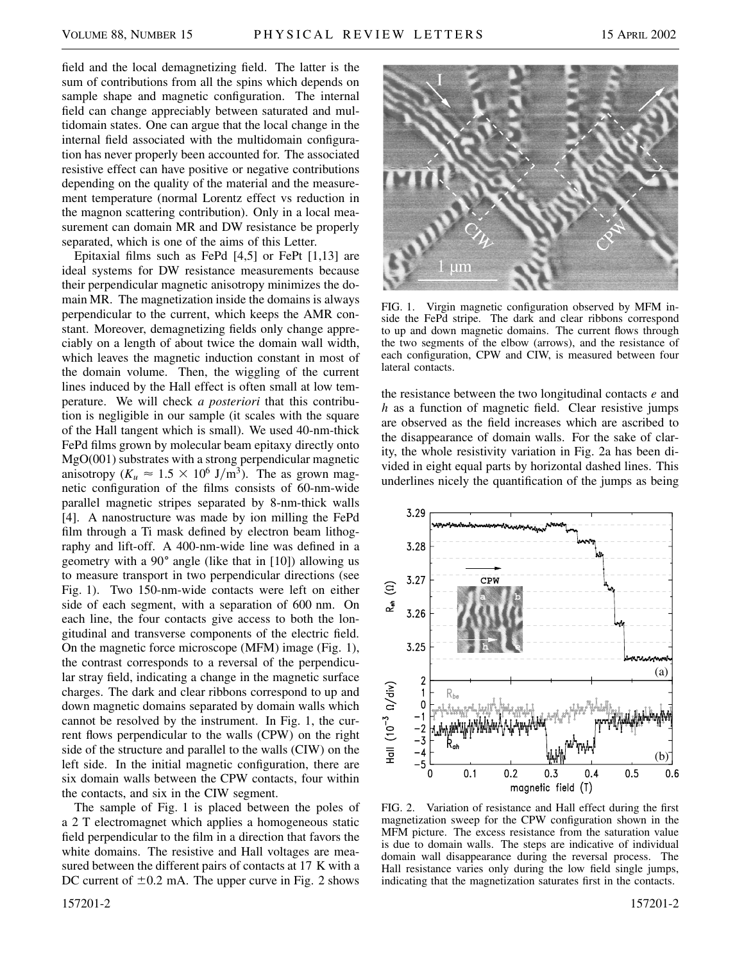field and the local demagnetizing field. The latter is the sum of contributions from all the spins which depends on sample shape and magnetic configuration. The internal field can change appreciably between saturated and multidomain states. One can argue that the local change in the internal field associated with the multidomain configuration has never properly been accounted for. The associated resistive effect can have positive or negative contributions depending on the quality of the material and the measurement temperature (normal Lorentz effect vs reduction in the magnon scattering contribution). Only in a local measurement can domain MR and DW resistance be properly separated, which is one of the aims of this Letter.

Epitaxial films such as FePd [4,5] or FePt [1,13] are ideal systems for DW resistance measurements because their perpendicular magnetic anisotropy minimizes the domain MR. The magnetization inside the domains is always perpendicular to the current, which keeps the AMR constant. Moreover, demagnetizing fields only change appreciably on a length of about twice the domain wall width, which leaves the magnetic induction constant in most of the domain volume. Then, the wiggling of the current lines induced by the Hall effect is often small at low temperature. We will check *a posteriori* that this contribution is negligible in our sample (it scales with the square of the Hall tangent which is small). We used 40-nm-thick FePd films grown by molecular beam epitaxy directly onto MgO(001) substrates with a strong perpendicular magnetic anisotropy ( $K_u \approx 1.5 \times 10^6$  J/m<sup>3</sup>). The as grown magnetic configuration of the films consists of 60-nm-wide parallel magnetic stripes separated by 8-nm-thick walls [4]. A nanostructure was made by ion milling the FePd film through a Ti mask defined by electron beam lithography and lift-off. A 400-nm-wide line was defined in a geometry with a  $90^{\circ}$  angle (like that in [10]) allowing us to measure transport in two perpendicular directions (see Fig. 1). Two 150-nm-wide contacts were left on either side of each segment, with a separation of 600 nm. On each line, the four contacts give access to both the longitudinal and transverse components of the electric field. On the magnetic force microscope (MFM) image (Fig. 1), the contrast corresponds to a reversal of the perpendicular stray field, indicating a change in the magnetic surface charges. The dark and clear ribbons correspond to up and down magnetic domains separated by domain walls which cannot be resolved by the instrument. In Fig. 1, the current flows perpendicular to the walls (CPW) on the right side of the structure and parallel to the walls (CIW) on the left side. In the initial magnetic configuration, there are six domain walls between the CPW contacts, four within the contacts, and six in the CIW segment.

The sample of Fig. 1 is placed between the poles of a 2 T electromagnet which applies a homogeneous static field perpendicular to the film in a direction that favors the white domains. The resistive and Hall voltages are measured between the different pairs of contacts at 17 K with a DC current of  $\pm 0.2$  mA. The upper curve in Fig. 2 shows



FIG. 1. Virgin magnetic configuration observed by MFM inside the FePd stripe. The dark and clear ribbons correspond to up and down magnetic domains. The current flows through the two segments of the elbow (arrows), and the resistance of each configuration, CPW and CIW, is measured between four lateral contacts.

the resistance between the two longitudinal contacts *e* and *h* as a function of magnetic field. Clear resistive jumps are observed as the field increases which are ascribed to the disappearance of domain walls. For the sake of clarity, the whole resistivity variation in Fig. 2a has been divided in eight equal parts by horizontal dashed lines. This underlines nicely the quantification of the jumps as being



FIG. 2. Variation of resistance and Hall effect during the first magnetization sweep for the CPW configuration shown in the MFM picture. The excess resistance from the saturation value is due to domain walls. The steps are indicative of individual domain wall disappearance during the reversal process. The Hall resistance varies only during the low field single jumps, indicating that the magnetization saturates first in the contacts.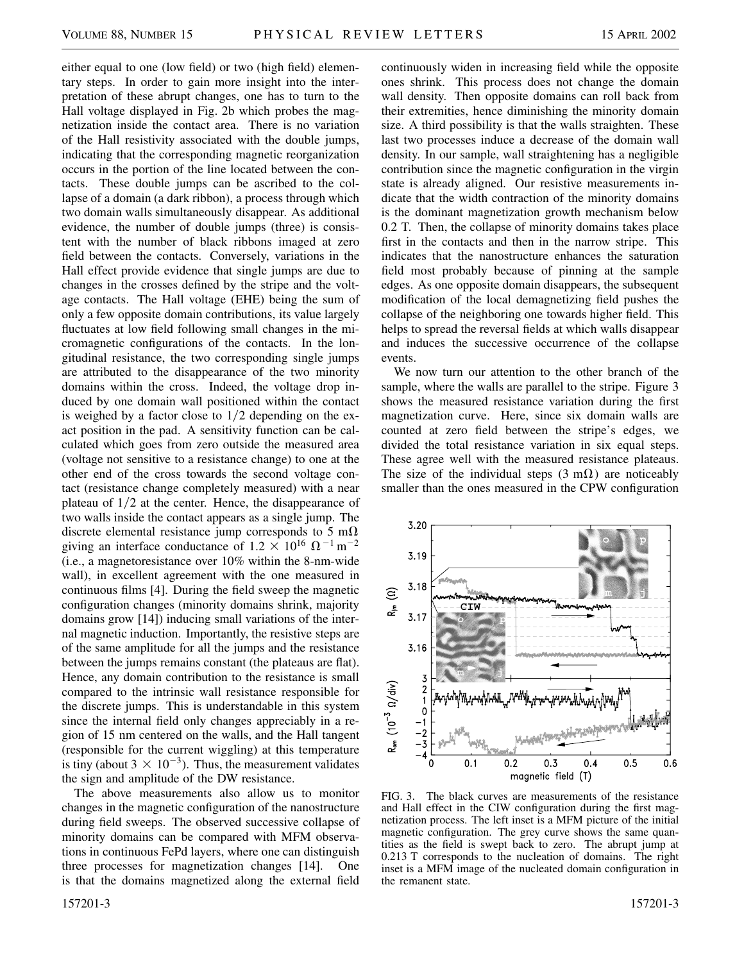either equal to one (low field) or two (high field) elementary steps. In order to gain more insight into the interpretation of these abrupt changes, one has to turn to the Hall voltage displayed in Fig. 2b which probes the magnetization inside the contact area. There is no variation of the Hall resistivity associated with the double jumps, indicating that the corresponding magnetic reorganization occurs in the portion of the line located between the contacts. These double jumps can be ascribed to the collapse of a domain (a dark ribbon), a process through which two domain walls simultaneously disappear. As additional evidence, the number of double jumps (three) is consistent with the number of black ribbons imaged at zero field between the contacts. Conversely, variations in the Hall effect provide evidence that single jumps are due to changes in the crosses defined by the stripe and the voltage contacts. The Hall voltage (EHE) being the sum of only a few opposite domain contributions, its value largely fluctuates at low field following small changes in the micromagnetic configurations of the contacts. In the longitudinal resistance, the two corresponding single jumps are attributed to the disappearance of the two minority domains within the cross. Indeed, the voltage drop induced by one domain wall positioned within the contact is weighed by a factor close to  $1/2$  depending on the exact position in the pad. A sensitivity function can be calculated which goes from zero outside the measured area (voltage not sensitive to a resistance change) to one at the other end of the cross towards the second voltage contact (resistance change completely measured) with a near plateau of  $1/2$  at the center. Hence, the disappearance of two walls inside the contact appears as a single jump. The discrete elemental resistance jump corresponds to 5 m $\Omega$ giving an interface conductance of  $1.2 \times 10^{16} \Omega^{-1}$  m<sup>-2</sup> (i.e., a magnetoresistance over 10% within the 8-nm-wide wall), in excellent agreement with the one measured in continuous films [4]. During the field sweep the magnetic configuration changes (minority domains shrink, majority domains grow [14]) inducing small variations of the internal magnetic induction. Importantly, the resistive steps are of the same amplitude for all the jumps and the resistance between the jumps remains constant (the plateaus are flat). Hence, any domain contribution to the resistance is small compared to the intrinsic wall resistance responsible for the discrete jumps. This is understandable in this system since the internal field only changes appreciably in a region of 15 nm centered on the walls, and the Hall tangent (responsible for the current wiggling) at this temperature is tiny (about  $3 \times 10^{-3}$ ). Thus, the measurement validates the sign and amplitude of the DW resistance.

The above measurements also allow us to monitor changes in the magnetic configuration of the nanostructure during field sweeps. The observed successive collapse of minority domains can be compared with MFM observations in continuous FePd layers, where one can distinguish three processes for magnetization changes [14]. One is that the domains magnetized along the external field

continuously widen in increasing field while the opposite ones shrink. This process does not change the domain wall density. Then opposite domains can roll back from their extremities, hence diminishing the minority domain size. A third possibility is that the walls straighten. These last two processes induce a decrease of the domain wall density. In our sample, wall straightening has a negligible contribution since the magnetic configuration in the virgin state is already aligned. Our resistive measurements indicate that the width contraction of the minority domains is the dominant magnetization growth mechanism below 0.2 T. Then, the collapse of minority domains takes place first in the contacts and then in the narrow stripe. This indicates that the nanostructure enhances the saturation field most probably because of pinning at the sample edges. As one opposite domain disappears, the subsequent modification of the local demagnetizing field pushes the collapse of the neighboring one towards higher field. This helps to spread the reversal fields at which walls disappear and induces the successive occurrence of the collapse events.

We now turn our attention to the other branch of the sample, where the walls are parallel to the stripe. Figure 3 shows the measured resistance variation during the first magnetization curve. Here, since six domain walls are counted at zero field between the stripe's edges, we divided the total resistance variation in six equal steps. These agree well with the measured resistance plateaus. The size of the individual steps  $(3 \text{ m}\Omega)$  are noticeably smaller than the ones measured in the CPW configuration



FIG. 3. The black curves are measurements of the resistance and Hall effect in the CIW configuration during the first magnetization process. The left inset is a MFM picture of the initial magnetic configuration. The grey curve shows the same quantities as the field is swept back to zero. The abrupt jump at 0.213 T corresponds to the nucleation of domains. The right inset is a MFM image of the nucleated domain configuration in the remanent state.